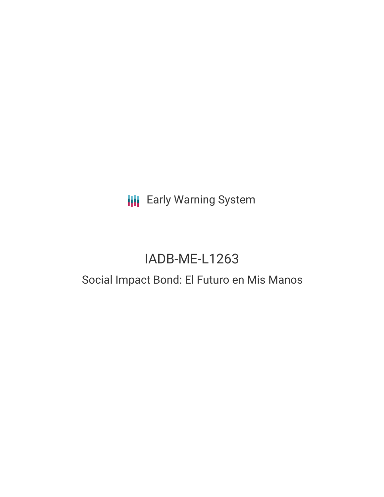**III** Early Warning System

# IADB-ME-L1263

## Social Impact Bond: El Futuro en Mis Manos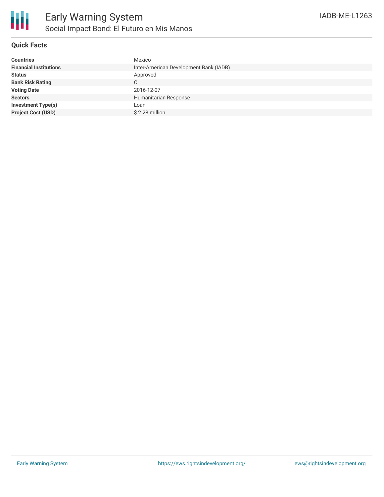

#### **Quick Facts**

| <b>Countries</b>              | Mexico                                 |
|-------------------------------|----------------------------------------|
| <b>Financial Institutions</b> | Inter-American Development Bank (IADB) |
| <b>Status</b>                 | Approved                               |
| <b>Bank Risk Rating</b>       | C                                      |
| <b>Voting Date</b>            | 2016-12-07                             |
| <b>Sectors</b>                | Humanitarian Response                  |
| <b>Investment Type(s)</b>     | Loan                                   |
| <b>Project Cost (USD)</b>     | \$2.28 million                         |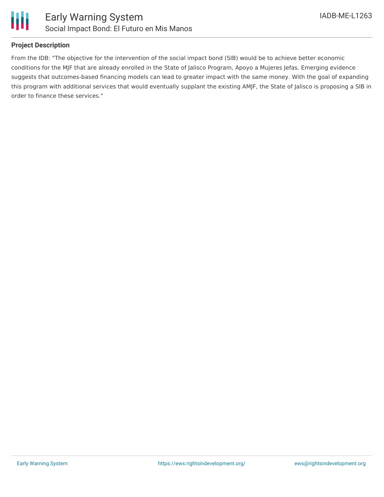

#### **Project Description**

From the IDB: "The objective for the intervention of the social impact bond (SIB) would be to achieve better economic conditions for the MJF that are already enrolled in the State of Jalisco Program, Apoyo a Mujeres Jefas. Emerging evidence suggests that outcomes-based financing models can lead to greater impact with the same money. With the goal of expanding this program with additional services that would eventually supplant the existing AMJF, the State of Jalisco is proposing a SIB in order to finance these services."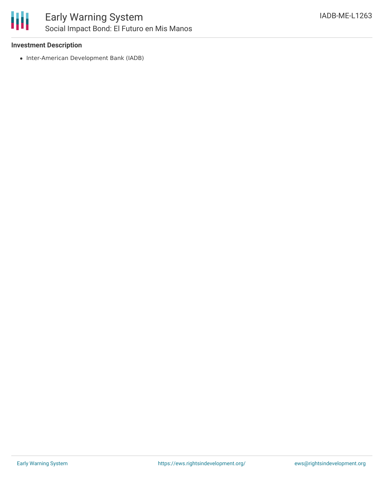

#### **Investment Description**

• Inter-American Development Bank (IADB)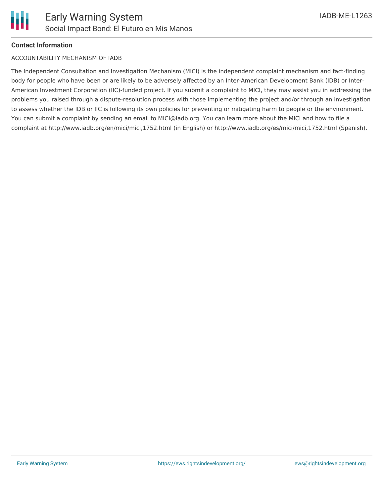

#### **Contact Information**

#### ACCOUNTABILITY MECHANISM OF IADB

The Independent Consultation and Investigation Mechanism (MICI) is the independent complaint mechanism and fact-finding body for people who have been or are likely to be adversely affected by an Inter-American Development Bank (IDB) or Inter-American Investment Corporation (IIC)-funded project. If you submit a complaint to MICI, they may assist you in addressing the problems you raised through a dispute-resolution process with those implementing the project and/or through an investigation to assess whether the IDB or IIC is following its own policies for preventing or mitigating harm to people or the environment. You can submit a complaint by sending an email to MICI@iadb.org. You can learn more about the MICI and how to file a complaint at http://www.iadb.org/en/mici/mici,1752.html (in English) or http://www.iadb.org/es/mici/mici,1752.html (Spanish).